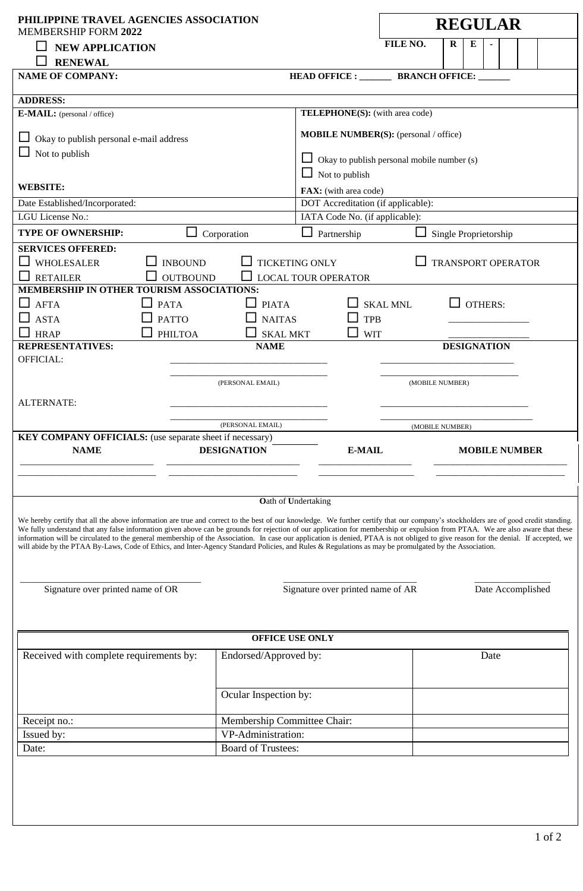| PHILIPPINE TRAVEL AGENCIES ASSOCIATION<br>MEMBERSHIP FORM 2022                                                                                                                                                                                                                                                                                                                                                                                                                                                                                                                                                                                                                                                       |                                                                     |                                      |                                    | <b>REGULAR</b>            |                    |                   |  |  |  |
|----------------------------------------------------------------------------------------------------------------------------------------------------------------------------------------------------------------------------------------------------------------------------------------------------------------------------------------------------------------------------------------------------------------------------------------------------------------------------------------------------------------------------------------------------------------------------------------------------------------------------------------------------------------------------------------------------------------------|---------------------------------------------------------------------|--------------------------------------|------------------------------------|---------------------------|--------------------|-------------------|--|--|--|
| <b>NEW APPLICATION</b>                                                                                                                                                                                                                                                                                                                                                                                                                                                                                                                                                                                                                                                                                               |                                                                     |                                      | FILE NO.                           | $\bf R$                   | E                  |                   |  |  |  |
| <b>RENEWAL</b>                                                                                                                                                                                                                                                                                                                                                                                                                                                                                                                                                                                                                                                                                                       |                                                                     |                                      |                                    |                           |                    |                   |  |  |  |
| <b>NAME OF COMPANY:</b>                                                                                                                                                                                                                                                                                                                                                                                                                                                                                                                                                                                                                                                                                              |                                                                     |                                      | HEAD OFFICE : BRANCH OFFICE:       |                           |                    |                   |  |  |  |
|                                                                                                                                                                                                                                                                                                                                                                                                                                                                                                                                                                                                                                                                                                                      |                                                                     |                                      |                                    |                           |                    |                   |  |  |  |
| <b>ADDRESS:</b>                                                                                                                                                                                                                                                                                                                                                                                                                                                                                                                                                                                                                                                                                                      |                                                                     |                                      |                                    |                           |                    |                   |  |  |  |
| <b>E-MAIL:</b> (personal / office)                                                                                                                                                                                                                                                                                                                                                                                                                                                                                                                                                                                                                                                                                   | <b>TELEPHONE(S):</b> (with area code)                               |                                      |                                    |                           |                    |                   |  |  |  |
| Okay to publish personal e-mail address                                                                                                                                                                                                                                                                                                                                                                                                                                                                                                                                                                                                                                                                              | <b>MOBILE NUMBER(S):</b> (personal / office)                        |                                      |                                    |                           |                    |                   |  |  |  |
| $\Box$ Not to publish                                                                                                                                                                                                                                                                                                                                                                                                                                                                                                                                                                                                                                                                                                | Okay to publish personal mobile number (s)<br>$\Box$ Not to publish |                                      |                                    |                           |                    |                   |  |  |  |
| <b>WEBSITE:</b>                                                                                                                                                                                                                                                                                                                                                                                                                                                                                                                                                                                                                                                                                                      |                                                                     | FAX: (with area code)                |                                    |                           |                    |                   |  |  |  |
| Date Established/Incorporated:                                                                                                                                                                                                                                                                                                                                                                                                                                                                                                                                                                                                                                                                                       |                                                                     |                                      | DOT Accreditation (if applicable): |                           |                    |                   |  |  |  |
| LGU License No.:                                                                                                                                                                                                                                                                                                                                                                                                                                                                                                                                                                                                                                                                                                     |                                                                     |                                      | IATA Code No. (if applicable):     |                           |                    |                   |  |  |  |
| <b>TYPE OF OWNERSHIP:</b>                                                                                                                                                                                                                                                                                                                                                                                                                                                                                                                                                                                                                                                                                            | Corporation                                                         | Partnership<br>Single Proprietorship |                                    |                           |                    |                   |  |  |  |
| <b>SERVICES OFFERED:</b>                                                                                                                                                                                                                                                                                                                                                                                                                                                                                                                                                                                                                                                                                             |                                                                     |                                      |                                    |                           |                    |                   |  |  |  |
| <b>WHOLESALER</b>                                                                                                                                                                                                                                                                                                                                                                                                                                                                                                                                                                                                                                                                                                    | <b>INBOUND</b>                                                      | <b>TICKETING ONLY</b>                |                                    | <b>TRANSPORT OPERATOR</b> |                    |                   |  |  |  |
| <b>RETAILER</b>                                                                                                                                                                                                                                                                                                                                                                                                                                                                                                                                                                                                                                                                                                      | <b>OUTBOUND</b>                                                     | <b>LOCAL TOUR OPERATOR</b>           |                                    |                           |                    |                   |  |  |  |
| <b>MEMBERSHIP IN OTHER TOURISM ASSOCIATIONS:</b>                                                                                                                                                                                                                                                                                                                                                                                                                                                                                                                                                                                                                                                                     |                                                                     |                                      |                                    |                           |                    |                   |  |  |  |
| <b>AFTA</b>                                                                                                                                                                                                                                                                                                                                                                                                                                                                                                                                                                                                                                                                                                          | <b>PIATA</b><br><b>PATA</b>                                         |                                      | <b>SKAL MNL</b>                    |                           | <b>OTHERS:</b>     |                   |  |  |  |
| <b>ASTA</b>                                                                                                                                                                                                                                                                                                                                                                                                                                                                                                                                                                                                                                                                                                          | <b>NAITAS</b><br><b>PATTO</b>                                       | <b>TPB</b>                           |                                    |                           |                    |                   |  |  |  |
| <b>HRAP</b>                                                                                                                                                                                                                                                                                                                                                                                                                                                                                                                                                                                                                                                                                                          | <b>PHILTOA</b><br><b>SKAL MKT</b>                                   | <b>WIT</b>                           |                                    |                           |                    |                   |  |  |  |
| <b>REPRESENTATIVES:</b>                                                                                                                                                                                                                                                                                                                                                                                                                                                                                                                                                                                                                                                                                              | <b>NAME</b>                                                         |                                      |                                    |                           | <b>DESIGNATION</b> |                   |  |  |  |
| OFFICIAL:                                                                                                                                                                                                                                                                                                                                                                                                                                                                                                                                                                                                                                                                                                            |                                                                     |                                      |                                    |                           |                    |                   |  |  |  |
|                                                                                                                                                                                                                                                                                                                                                                                                                                                                                                                                                                                                                                                                                                                      |                                                                     |                                      |                                    |                           |                    |                   |  |  |  |
|                                                                                                                                                                                                                                                                                                                                                                                                                                                                                                                                                                                                                                                                                                                      | (PERSONAL EMAIL)                                                    |                                      | (MOBILE NUMBER)                    |                           |                    |                   |  |  |  |
| <b>ALTERNATE:</b>                                                                                                                                                                                                                                                                                                                                                                                                                                                                                                                                                                                                                                                                                                    |                                                                     |                                      |                                    |                           |                    |                   |  |  |  |
|                                                                                                                                                                                                                                                                                                                                                                                                                                                                                                                                                                                                                                                                                                                      |                                                                     |                                      |                                    |                           |                    |                   |  |  |  |
|                                                                                                                                                                                                                                                                                                                                                                                                                                                                                                                                                                                                                                                                                                                      | (PERSONAL EMAIL)                                                    |                                      |                                    | (MOBILE NUMBER)           |                    |                   |  |  |  |
| <b>KEY COMPANY OFFICIALS:</b> (use separate sheet if necessary)                                                                                                                                                                                                                                                                                                                                                                                                                                                                                                                                                                                                                                                      |                                                                     |                                      |                                    |                           |                    |                   |  |  |  |
| <b>NAME</b>                                                                                                                                                                                                                                                                                                                                                                                                                                                                                                                                                                                                                                                                                                          | <b>DESIGNATION</b>                                                  | <b>E-MAIL</b>                        |                                    | <b>MOBILE NUMBER</b>      |                    |                   |  |  |  |
|                                                                                                                                                                                                                                                                                                                                                                                                                                                                                                                                                                                                                                                                                                                      |                                                                     |                                      |                                    |                           |                    |                   |  |  |  |
|                                                                                                                                                                                                                                                                                                                                                                                                                                                                                                                                                                                                                                                                                                                      |                                                                     |                                      |                                    |                           |                    |                   |  |  |  |
|                                                                                                                                                                                                                                                                                                                                                                                                                                                                                                                                                                                                                                                                                                                      |                                                                     | Oath of Undertaking                  |                                    |                           |                    |                   |  |  |  |
| We hereby certify that all the above information are true and correct to the best of our knowledge. We further certify that our company's stockholders are of good credit standing.<br>We fully understand that any false information given above can be grounds for rejection of our application for membership or expulsion from PTAA. We are also aware that these<br>information will be circulated to the general membership of the Association. In case our application is denied, PTAA is not obliged to give reason for the denial. If accepted, we<br>will abide by the PTAA By-Laws, Code of Ethics, and Inter-Agency Standard Policies, and Rules & Regulations as may be promulgated by the Association. |                                                                     |                                      |                                    |                           |                    |                   |  |  |  |
| Signature over printed name of OR                                                                                                                                                                                                                                                                                                                                                                                                                                                                                                                                                                                                                                                                                    |                                                                     | Signature over printed name of AR    |                                    |                           |                    | Date Accomplished |  |  |  |
|                                                                                                                                                                                                                                                                                                                                                                                                                                                                                                                                                                                                                                                                                                                      |                                                                     |                                      |                                    |                           |                    |                   |  |  |  |
|                                                                                                                                                                                                                                                                                                                                                                                                                                                                                                                                                                                                                                                                                                                      |                                                                     |                                      |                                    |                           |                    |                   |  |  |  |
|                                                                                                                                                                                                                                                                                                                                                                                                                                                                                                                                                                                                                                                                                                                      |                                                                     |                                      |                                    |                           |                    |                   |  |  |  |
|                                                                                                                                                                                                                                                                                                                                                                                                                                                                                                                                                                                                                                                                                                                      |                                                                     | OFFICE USE ONLY                      |                                    |                           |                    |                   |  |  |  |
| Received with complete requirements by:                                                                                                                                                                                                                                                                                                                                                                                                                                                                                                                                                                                                                                                                              | Endorsed/Approved by:                                               |                                      |                                    |                           | Date               |                   |  |  |  |
|                                                                                                                                                                                                                                                                                                                                                                                                                                                                                                                                                                                                                                                                                                                      |                                                                     |                                      |                                    |                           |                    |                   |  |  |  |
|                                                                                                                                                                                                                                                                                                                                                                                                                                                                                                                                                                                                                                                                                                                      | Ocular Inspection by:                                               |                                      |                                    |                           |                    |                   |  |  |  |
|                                                                                                                                                                                                                                                                                                                                                                                                                                                                                                                                                                                                                                                                                                                      |                                                                     |                                      |                                    |                           |                    |                   |  |  |  |
| Receipt no.:                                                                                                                                                                                                                                                                                                                                                                                                                                                                                                                                                                                                                                                                                                         | Membership Committee Chair:                                         |                                      |                                    |                           |                    |                   |  |  |  |
| Issued by:                                                                                                                                                                                                                                                                                                                                                                                                                                                                                                                                                                                                                                                                                                           | VP-Administration:                                                  |                                      |                                    |                           |                    |                   |  |  |  |
| Date:                                                                                                                                                                                                                                                                                                                                                                                                                                                                                                                                                                                                                                                                                                                | <b>Board of Trustees:</b>                                           |                                      |                                    |                           |                    |                   |  |  |  |
|                                                                                                                                                                                                                                                                                                                                                                                                                                                                                                                                                                                                                                                                                                                      |                                                                     |                                      |                                    |                           |                    |                   |  |  |  |
|                                                                                                                                                                                                                                                                                                                                                                                                                                                                                                                                                                                                                                                                                                                      |                                                                     |                                      |                                    |                           |                    |                   |  |  |  |